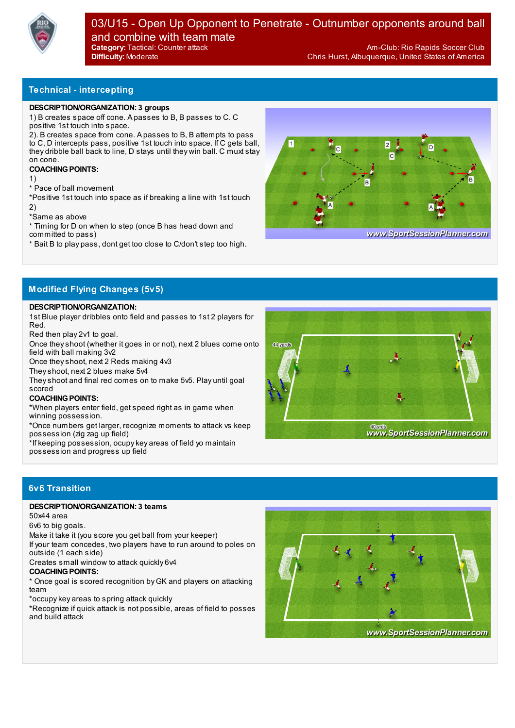

**Technical - intercepting**

#### **DESCRIPTION/ORGANIZATION: 3 groups**

1) B creates space off cone. A passes to B, B passes to C. C positive 1st touch into space.

2). B creates space from cone. A passes to B, B attempts to pass to C, D intercepts pass, positive 1st touch into space. If C gets ball, they dribble ball back to line, D stays until they win ball. C muxt stay on cone.

### **COACHING POINTS:**

1)

\* Pace of ball movement

\*Positive 1st touch into space as if breaking a line with 1st touch 2)

\*Same as above

\* Timing for D on when to step (once B has head down and committed to pass)

\* Bait B to play pass, dont get too close to C/don't step too high.



www.SportSessionPlanner.com

## **Modified Flying Changes (5v5)**

#### **DESCRIPTION/ORGANIZATION:**

1st Blue player dribbles onto field and passes to 1st 2 players for Red.

Red then play 2v1 to goal.

Once theyshoot (whether it goes in or not), next 2 blues come onto field with ball making 3v2

Once theyshoot, next 2 Reds making 4v3

Theyshoot, next 2 blues make 5v4

Theyshoot and final red comes on to make 5v5. Play until goal scored

#### **COACHING POINTS:**

\*When players enter field, get speed right as in game when winning possession.

\*Once numbers get larger, recognize moments to attack vs keep possession (zig zag up field)

\*If keeping possession, ocupykey areas of field yo maintain possession and progress up field



# **6v6 Transition**

### **DESCRIPTION/ORGANIZATION: 3 teams**

50x44 area

6v6 to big goals.

Make it take it (you score you get ball from your keeper)

If your team concedes, two players have to run around to poles on outside (1 each side)

Creates small window to attack quickly 6v4

#### **COACHING POINTS:**

\* Once goal is scored recognition by GK and players on attacking team

\*occupykey areas to spring attack quickly

\*Recognize if quick attack is not possible, areas of field to posses and build attack